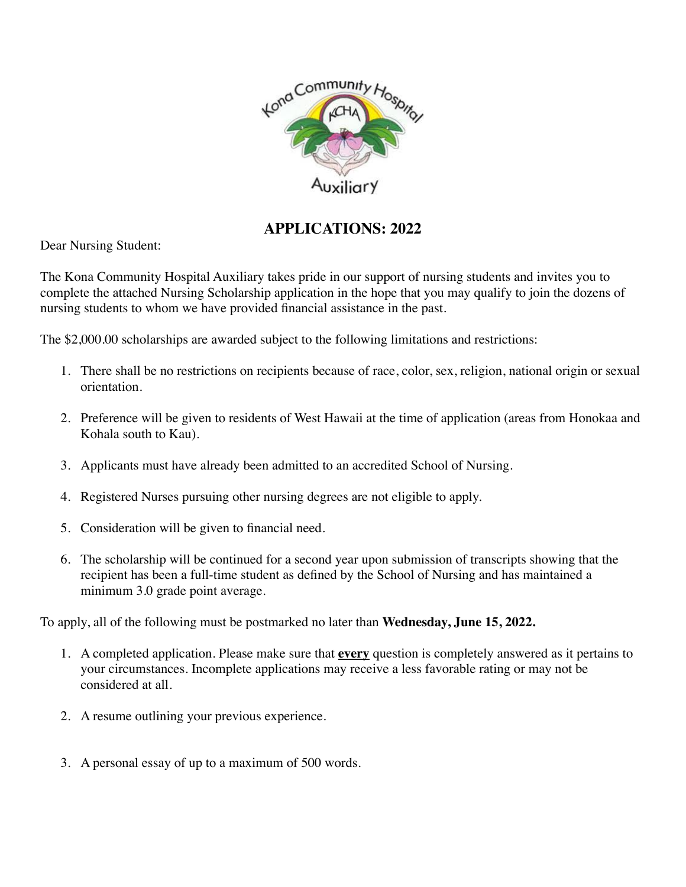

### **APPLICATIONS: 2022**

Dear Nursing Student:

The Kona Community Hospital Auxiliary takes pride in our support of nursing students and invites you to complete the attached Nursing Scholarship application in the hope that you may qualify to join the dozens of nursing students to whom we have provided financial assistance in the past.

The \$2,000.00 scholarships are awarded subject to the following limitations and restrictions:

- 1. There shall be no restrictions on recipients because of race, color, sex, religion, national origin or sexual orientation.
- 2. Preference will be given to residents of West Hawaii at the time of application (areas from Honokaa and Kohala south to Kau).
- 3. Applicants must have already been admitted to an accredited School of Nursing.
- 4. Registered Nurses pursuing other nursing degrees are not eligible to apply.
- 5. Consideration will be given to financial need.
- 6. The scholarship will be continued for a second year upon submission of transcripts showing that the recipient has been a full-time student as defined by the School of Nursing and has maintained a minimum 3.0 grade point average.

To apply, all of the following must be postmarked no later than **Wednesday, June 15, 2022.**

- 1. A completed application. Please make sure that **every** question is completely answered as it pertains to your circumstances. Incomplete applications may receive a less favorable rating or may not be considered at all.
- 2. A resume outlining your previous experience.
- 3. A personal essay of up to a maximum of 500 words.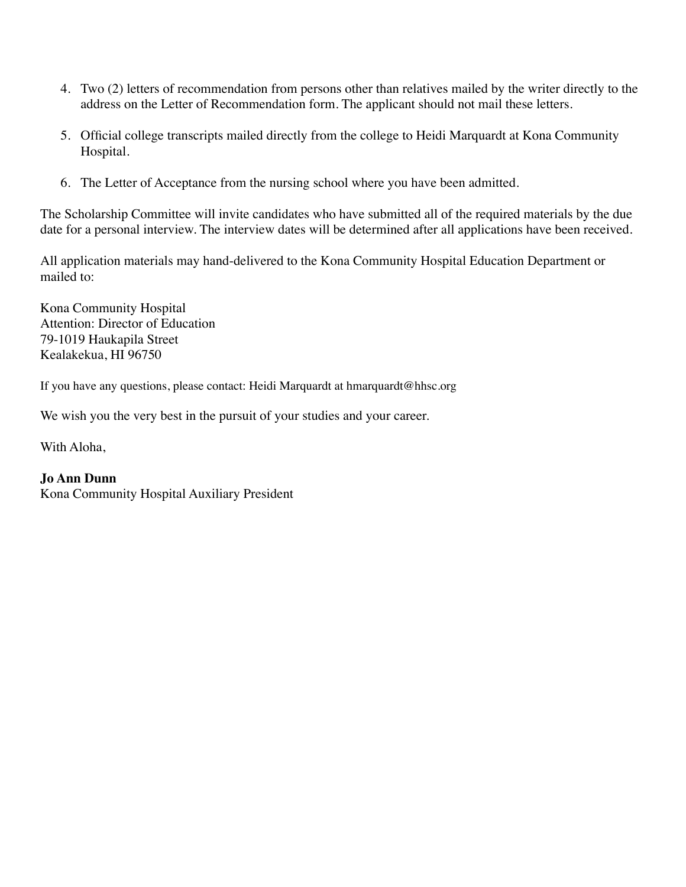- 4. Two (2) letters of recommendation from persons other than relatives mailed by the writer directly to the address on the Letter of Recommendation form. The applicant should not mail these letters.
- 5. Official college transcripts mailed directly from the college to Heidi Marquardt at Kona Community Hospital.
- 6. The Letter of Acceptance from the nursing school where you have been admitted.

The Scholarship Committee will invite candidates who have submitted all of the required materials by the due date for a personal interview. The interview dates will be determined after all applications have been received.

All application materials may hand-delivered to the Kona Community Hospital Education Department or mailed to:

Kona Community Hospital Attention: Director of Education 79-1019 Haukapila Street Kealakekua, HI 96750

If you have any questions, please contact: Heidi Marquardt at hmarquardt@hhsc.org

We wish you the very best in the pursuit of your studies and your career.

With Aloha,

### **Jo Ann Dunn**

Kona Community Hospital Auxiliary President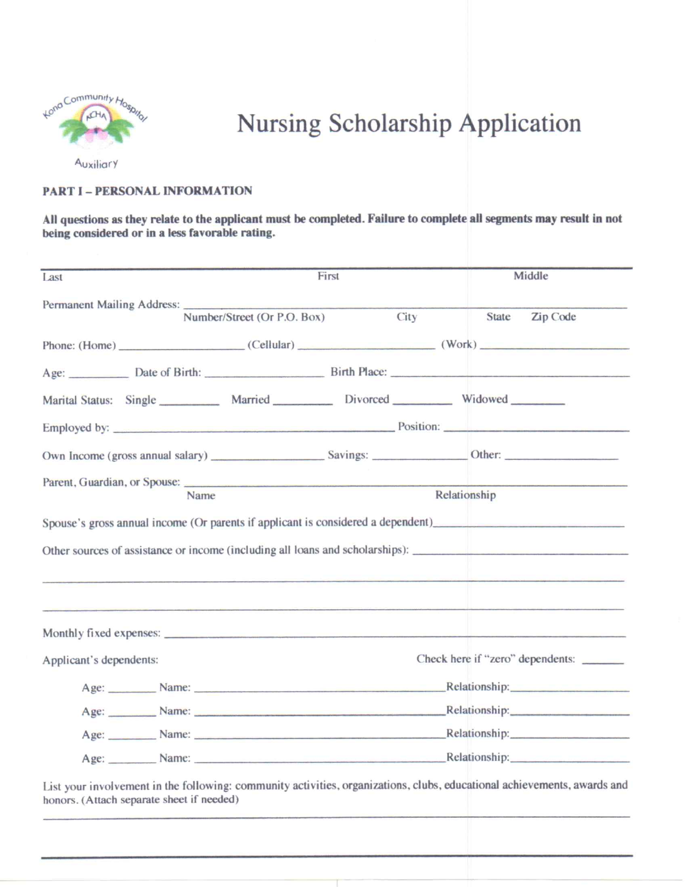

# Nursing Scholarship Application

Auxiliary

#### **PART I - PERSONAL INFORMATION**

#### All questions as they relate to the applicant must be completed. Failure to complete all segments may result in not being considered or in a less favorable rating.

| Last                       | First                                                                                     |                                                                                                                                                                                                                                | Middle                                                                                                                                                                                                                                                                                                                                                                                                    |  |
|----------------------------|-------------------------------------------------------------------------------------------|--------------------------------------------------------------------------------------------------------------------------------------------------------------------------------------------------------------------------------|-----------------------------------------------------------------------------------------------------------------------------------------------------------------------------------------------------------------------------------------------------------------------------------------------------------------------------------------------------------------------------------------------------------|--|
| Permanent Mailing Address: | Number/Street (Or P.O. Box)                                                               | City                                                                                                                                                                                                                           | State Zip Code                                                                                                                                                                                                                                                                                                                                                                                            |  |
|                            |                                                                                           |                                                                                                                                                                                                                                | Phone: (Home) (Cellular) (Cellular) (Work)                                                                                                                                                                                                                                                                                                                                                                |  |
|                            |                                                                                           |                                                                                                                                                                                                                                |                                                                                                                                                                                                                                                                                                                                                                                                           |  |
|                            | Marital Status: Single __________ Married __________ Divorced __________ Widowed ________ |                                                                                                                                                                                                                                |                                                                                                                                                                                                                                                                                                                                                                                                           |  |
|                            |                                                                                           |                                                                                                                                                                                                                                | Employed by: <u>example and the provision</u> Position: <u>example and the provision</u> Position:                                                                                                                                                                                                                                                                                                        |  |
|                            |                                                                                           |                                                                                                                                                                                                                                |                                                                                                                                                                                                                                                                                                                                                                                                           |  |
|                            | Name                                                                                      |                                                                                                                                                                                                                                | Relationship                                                                                                                                                                                                                                                                                                                                                                                              |  |
|                            |                                                                                           |                                                                                                                                                                                                                                | Spouse's gross annual income (Or parents if applicant is considered a dependent)<br>Other sources of assistance or income (including all loans and scholarships):<br><u> 1980 - 1980 - 1980 - 1980 - 1980 - 1980 - 1980 - 1980 - 1980 - 1980 - 1980 - 1980 - 1980 - 1980 - 1980 - 1980 - 1980 - 1980 - 1980 - 1980 - 1980 - 1980 - 1980 - 1980 - 1980 - 1980 - 1980 - 1980 - 1980 - 1980 - 1980 - 198</u> |  |
| Applicant's dependents:    |                                                                                           |                                                                                                                                                                                                                                | Check here if "zero" dependents:                                                                                                                                                                                                                                                                                                                                                                          |  |
|                            |                                                                                           |                                                                                                                                                                                                                                | Age: Name: Name: Name: Name: Name: Name: Name: Name: Name: Name: Name: Name: Name: Name: Name: Name: Name: Name: Name: Name: Name: Name: Name: Name: Name: Name: Name: Name: Name: Name: Name: Name: Name: Name: Name: Name: N                                                                                                                                                                            |  |
|                            |                                                                                           | Age: Name: Name: Name: Relationship: Relationship:                                                                                                                                                                             |                                                                                                                                                                                                                                                                                                                                                                                                           |  |
|                            |                                                                                           | Age: Name: Name: Name: Name: Name: Name: Name: Name: Name: Name: Name: Name: Name: Name: Name: Name: Name: Name: Name: Name: Name: Name: Name: Name: Name: Name: Name: Name: Name: Name: Name: Name: Name: Name: Name: Name: N |                                                                                                                                                                                                                                                                                                                                                                                                           |  |
|                            |                                                                                           | Age: Name: Name: Name: Name: Relationship: Relationship:                                                                                                                                                                       |                                                                                                                                                                                                                                                                                                                                                                                                           |  |

List your involvement in the following: community activities, organizations, clubs, educational achievements, awards and honors. (Attach separate sheet if needed)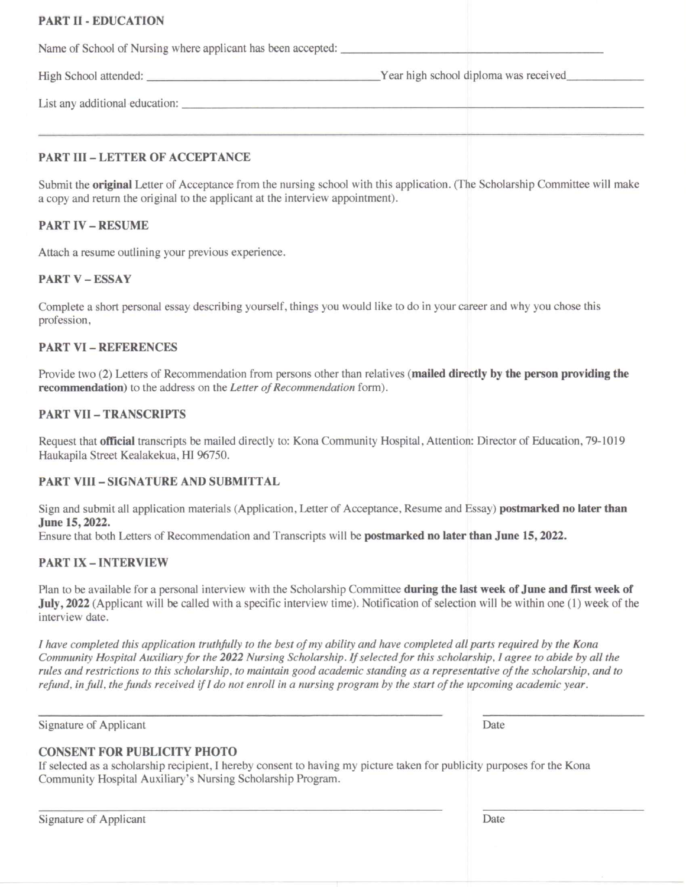#### **PART II - EDUCATION**

Name of School of Nursing where applicant has been accepted:

High School attended: Year high school diploma was received

List any additional education:

#### **PART III - LETTER OF ACCEPTANCE**

Submit the **original** Letter of Acceptance from the nursing school with this application. (The Scholarship Committee will make a copy and return the original to the applicant at the interview appointment).

#### **PART IV - RESUME**

Attach a resume outlining your previous experience.

#### **PART V - ESSAY**

Complete a short personal essay describing yourself, things you would like to do in your career and why you chose this profession,

#### **PART VI - REFERENCES**

Provide two (2) Letters of Recommendation from persons other than relatives (mailed directly by the person providing the recommendation) to the address on the Letter of Recommendation form).

#### **PART VII - TRANSCRIPTS**

Request that official transcripts be mailed directly to: Kona Community Hospital, Attention: Director of Education, 79-1019 Haukapila Street Kealakekua, HI 96750.

#### **PART VIII - SIGNATURE AND SUBMITTAL**

Sign and submit all application materials (Application, Letter of Acceptance, Resume and Essay) **postmarked no later than** June 15, 2022.

Ensure that both Letters of Recommendation and Transcripts will be **postmarked no later than June 15, 2022.** 

#### **PART IX - INTERVIEW**

Plan to be available for a personal interview with the Scholarship Committee during the last week of June and first week of July, 2022 (Applicant will be called with a specific interview time). Notification of selection will be within one (1) week of the interview date.

I have completed this application truthfully to the best of my ability and have completed all parts required by the Kona Community Hospital Auxiliary for the 2022 Nursing Scholarship. If selected for this scholarship, I agree to abide by all the rules and restrictions to this scholarship, to maintain good academic standing as a representative of the scholarship, and to refund, in full, the funds received if I do not enroll in a nursing program by the start of the upcoming academic year.

Signature of Applicant

Date

#### **CONSENT FOR PUBLICITY PHOTO**

If selected as a scholarship recipient, I hereby consent to having my picture taken for publicity purposes for the Kona Community Hospital Auxiliary's Nursing Scholarship Program.

Signature of Applicant

Date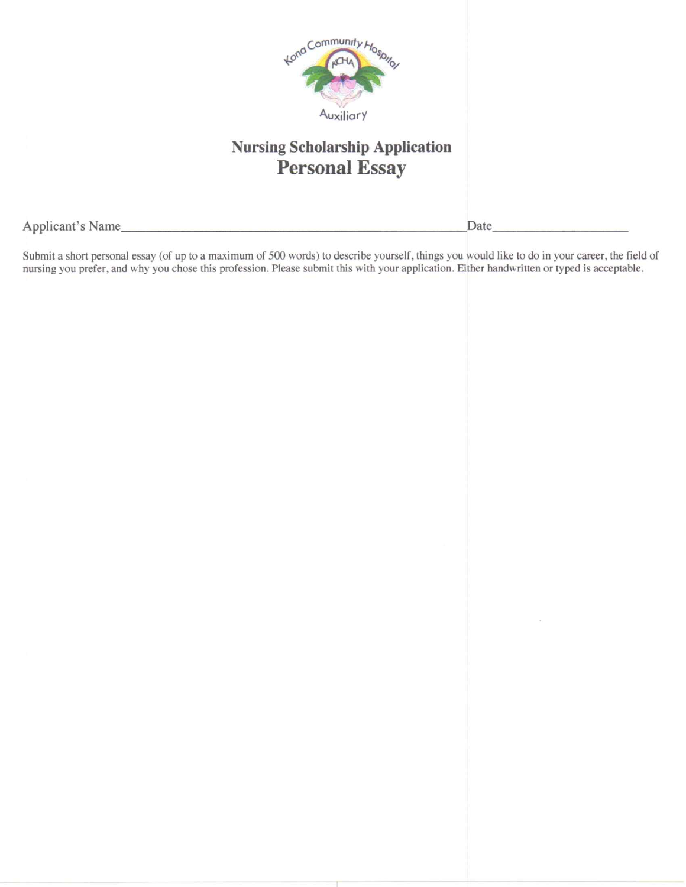

### **Nursing Scholarship Application Personal Essay**

Applicant's Name

Date\_

Submit a short personal essay (of up to a maximum of 500 words) to describe yourself, things you would like to do in your career, the field of nursing you prefer, and why you chose this profession. Please submit this with your application. Either handwritten or typed is acceptable.

<u> Albanya di Santana a Partido di Santana a Partido di Santana a Partido di Santana a Partido di Santana a Par</u>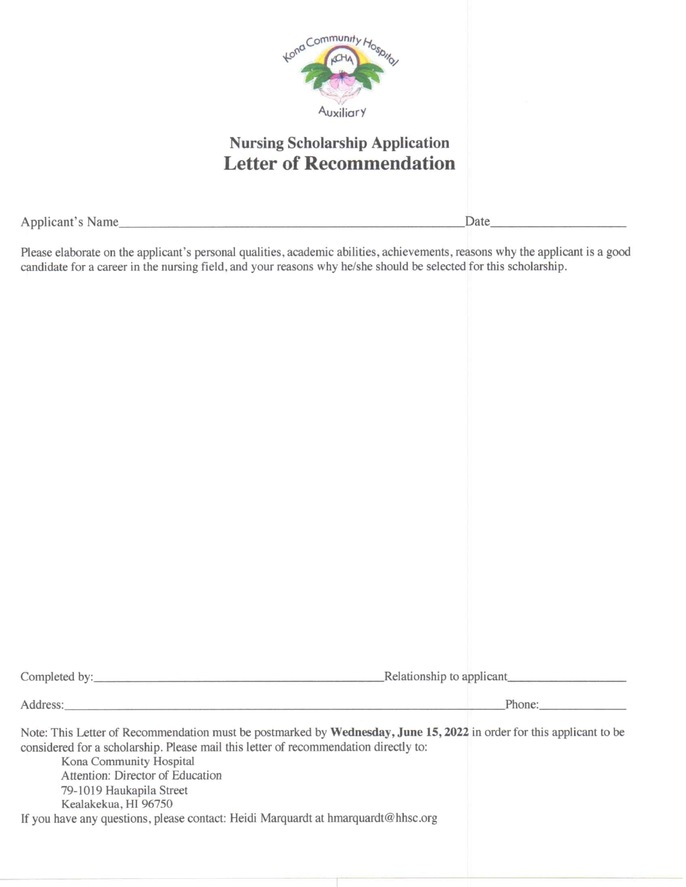

## **Nursing Scholarship Application Letter of Recommendation**

Applicant's Name

Date

Please elaborate on the applicant's personal qualities, academic abilities, achievements, reasons why the applicant is a good candidate for a career in the nursing field, and your reasons why he/she should be selected for this scholarship.

|                                                                                                                                                                                                                                                                                                                                                                                                                      | Relationship to applicant |
|----------------------------------------------------------------------------------------------------------------------------------------------------------------------------------------------------------------------------------------------------------------------------------------------------------------------------------------------------------------------------------------------------------------------|---------------------------|
| Address: Analysis and the second state of the second state of the second state of the second state of the second state of the second state of the second state of the second state of the second state of the second state of                                                                                                                                                                                        | Phone:                    |
| Note: This Letter of Recommendation must be postmarked by Wednesday, June 15, 2022 in order for this applicant to be<br>considered for a scholarship. Please mail this letter of recommendation directly to:<br>Kona Community Hospital<br>Attention: Director of Education<br>79-1019 Haukapila Street<br>Kealakekua, HI 96750<br>If you have any questions, please contact: Heidi Marquardt at hmarquardt@hhsc.org |                           |